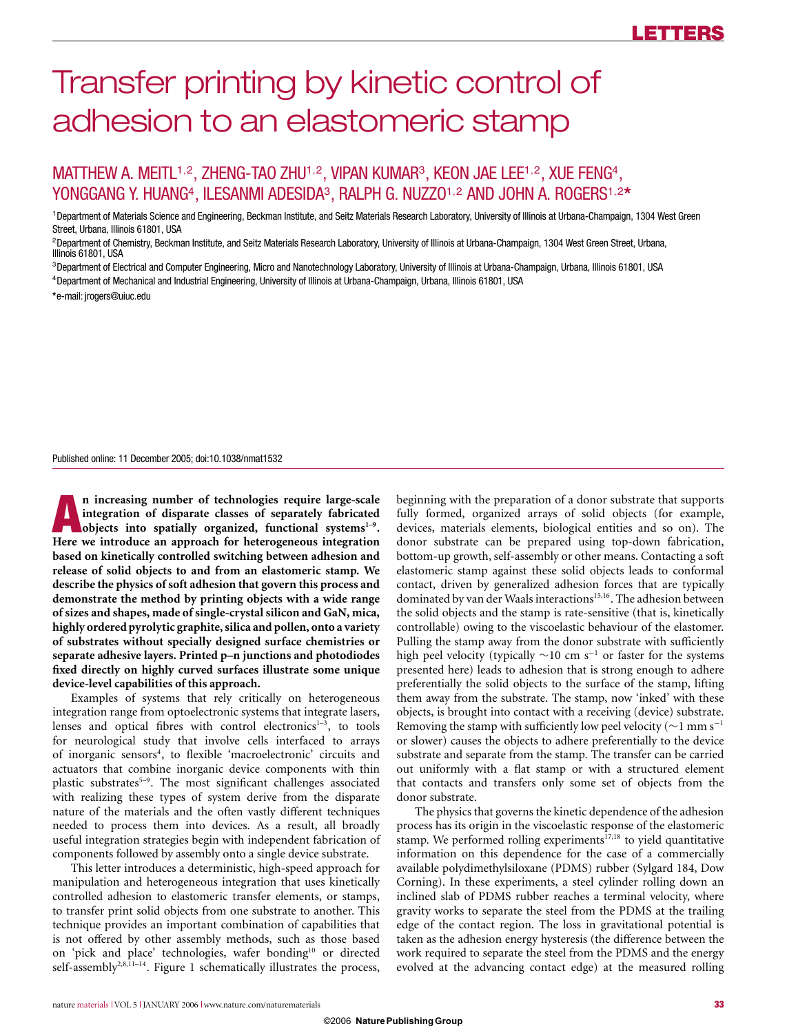# Transfer printing by kinetic control of adhesion to an elastomeric stamp

# MATTHEW A. MEITL<sup>1,2</sup>, ZHENG-TAO ZHU<sup>1,2</sup>, VIPAN KUMAR<sup>3</sup>, KEON JAE LEE<sup>1,2</sup>, XUE FENG<sup>4</sup>, YONGGANG Y. HUANG4, ILESANMI ADESIDA3, RALPH G. NUZZO<sup>1</sup>,<sup>2</sup> AND JOHN A. ROGERS<sup>1</sup>,<sup>2</sup>**\***

<sup>1</sup>Department of Materials Science and Engineering, Beckman Institute, and Seitz Materials Research Laboratory, University of Illinois at Urbana-Champaign, 1304 West Green Street, Urbana, Illinois 61801, USA

<sup>2</sup>Department of Chemistry, Beckman Institute, and Seitz Materials Research Laboratory, University of Illinois at Urbana-Champaign, 1304 West Green Street, Urbana, Illinois 61801, USA

<sup>3</sup>Department of Electrical and Computer Engineering, Micro and Nanotechnology Laboratory, University of Illinois at Urbana-Champaign, Urbana, Illinois 61801, USA

<sup>4</sup>Department of Mechanical and Industrial Engineering, University of Illinois at Urbana-Champaign, Urbana, Illinois 61801, USA

**\***e-mail: jrogers@uiuc.edu

Published online: 11 December 2005; doi:10.1038/nmat1532

**A** increasing number of technologies require large-scale<br>
integration of disparate classes of separately fabricated<br>
objects into spatially organized, functional systems<sup>1-9</sup>.<br>
Here we introduce an approach for heterogene **integration of disparate classes of separately fabricated Here we introduce an approach for heterogeneous integration based on kinetically controlled switching between adhesion and release of solid objects to and from an elastomeric stamp. We describe the physics of soft adhesion that govern this process and demonstrate the method by printing objects with a wide range of sizes and shapes, made of single-crystal silicon and GaN, mica, highly ordered pyrolytic graphite, silica and pollen, onto a variety of substrates without specially designed surface chemistries or separate adhesive layers. Printed p–n junctions and photodiodes fixed directly on highly curved surfaces illustrate some unique device-level capabilities of this approach.**

Examples of systems that rely critically on heterogeneous integration range from optoelectronic systems that integrate lasers, lenses and optical fibres with control electronics<sup> $1-3$ </sup>, to tools for neurological study that involve cells interfaced to arrays of inorganic sensors<sup>4</sup>, to flexible 'macroelectronic' circuits and actuators that combine inorganic device components with thin plastic substrates<sup>5-9</sup>. The most significant challenges associated with realizing these types of system derive from the disparate nature of the materials and the often vastly different techniques needed to process them into devices. As a result, all broadly useful integration strategies begin with independent fabrication of components followed by assembly onto a single device substrate.

This letter introduces a deterministic, high-speed approach for manipulation and heterogeneous integration that uses kinetically controlled adhesion to elastomeric transfer elements, or stamps, to transfer print solid objects from one substrate to another. This technique provides an important combination of capabilities that is not offered by other assembly methods, such as those based on 'pick and place' technologies, wafer bonding<sup>10</sup> or directed self-assembly<sup>2,8,11-14</sup>. Figure 1 schematically illustrates the process, beginning with the preparation of a donor substrate that supports fully formed, organized arrays of solid objects (for example, devices, materials elements, biological entities and so on). The donor substrate can be prepared using top-down fabrication, bottom-up growth, self-assembly or other means. Contacting a soft elastomeric stamp against these solid objects leads to conformal contact, driven by generalized adhesion forces that are typically dominated by van der Waals interactions<sup>15,16</sup>. The adhesion between the solid objects and the stamp is rate-sensitive (that is, kinetically controllable) owing to the viscoelastic behaviour of the elastomer. Pulling the stamp away from the donor substrate with sufficiently high peel velocity (typically ∼10 cm s<sup>-1</sup> or faster for the systems presented here) leads to adhesion that is strong enough to adhere preferentially the solid objects to the surface of the stamp, lifting them away from the substrate. The stamp, now 'inked' with these objects, is brought into contact with a receiving (device) substrate. Removing the stamp with sufficiently low peel velocity ( $\sim$ 1 mm s<sup>-1</sup> or slower) causes the objects to adhere preferentially to the device substrate and separate from the stamp. The transfer can be carried out uniformly with a flat stamp or with a structured element that contacts and transfers only some set of objects from the donor substrate.

The physics that governs the kinetic dependence of the adhesion process has its origin in the viscoelastic response of the elastomeric stamp. We performed rolling experiments $^{\overline{17},18}$  to yield quantitative information on this dependence for the case of a commercially available polydimethylsiloxane (PDMS) rubber (Sylgard 184, Dow Corning). In these experiments, a steel cylinder rolling down an inclined slab of PDMS rubber reaches a terminal velocity, where gravity works to separate the steel from the PDMS at the trailing edge of the contact region. The loss in gravitational potential is taken as the adhesion energy hysteresis (the difference between the work required to separate the steel from the PDMS and the energy evolved at the advancing contact edge) at the measured rolling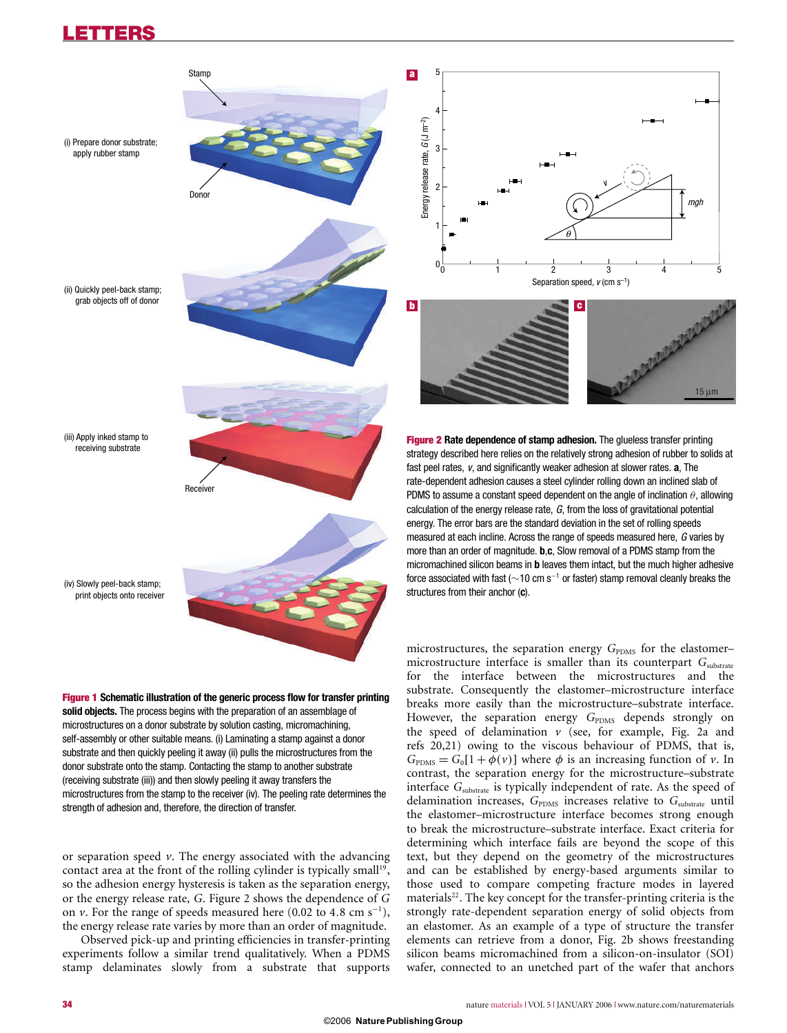## **LETTERS**





or separation speed *v*. The energy associated with the advancing contact area at the front of the rolling cylinder is typically small<sup>19</sup>, so the adhesion energy hysteresis is taken as the separation energy, or the energy release rate, *G*. Figure 2 shows the dependence of *G* on *v*. For the range of speeds measured here  $(0.02 \text{ to } 4.8 \text{ cm s}^{-1})$ , the energy release rate varies by more than an order of magnitude.

Observed pick-up and printing efficiencies in transfer-printing experiments follow a similar trend qualitatively. When a PDMS stamp delaminates slowly from a substrate that supports microstructure interface is smaller than its counterpart *G*<sub>substrate</sub> for the interface between the microstructures and the substrate. Consequently the elastomer–microstructure interface breaks more easily than the microstructure–substrate interface. However, the separation energy G<sub>PDMS</sub> depends strongly on the speed of delamination  $\nu$  (see, for example, Fig. 2a and refs 20,21) owing to the viscous behaviour of PDMS, that is,  $G<sub>PDNS</sub> = G<sub>0</sub>[1 + \phi(v)]$  where  $\phi$  is an increasing function of *v*. In contrast, the separation energy for the microstructure–substrate interface *G*substrate is typically independent of rate. As the speed of delamination increases,  $G_{\text{PDMS}}$  increases relative to  $G_{\text{substrate}}$  until the elastomer–microstructure interface becomes strong enough to break the microstructure–substrate interface. Exact criteria for determining which interface fails are beyond the scope of this text, but they depend on the geometry of the microstructures and can be established by energy-based arguments similar to those used to compare competing fracture modes in layered  $materials<sup>22</sup>$ . The key concept for the transfer-printing criteria is the strongly rate-dependent separation energy of solid objects from an elastomer. As an example of a type of structure the transfer elements can retrieve from a donor, Fig. 2b shows freestanding silicon beams micromachined from a silicon-on-insulator (SOI) wafer, connected to an unetched part of the wafer that anchors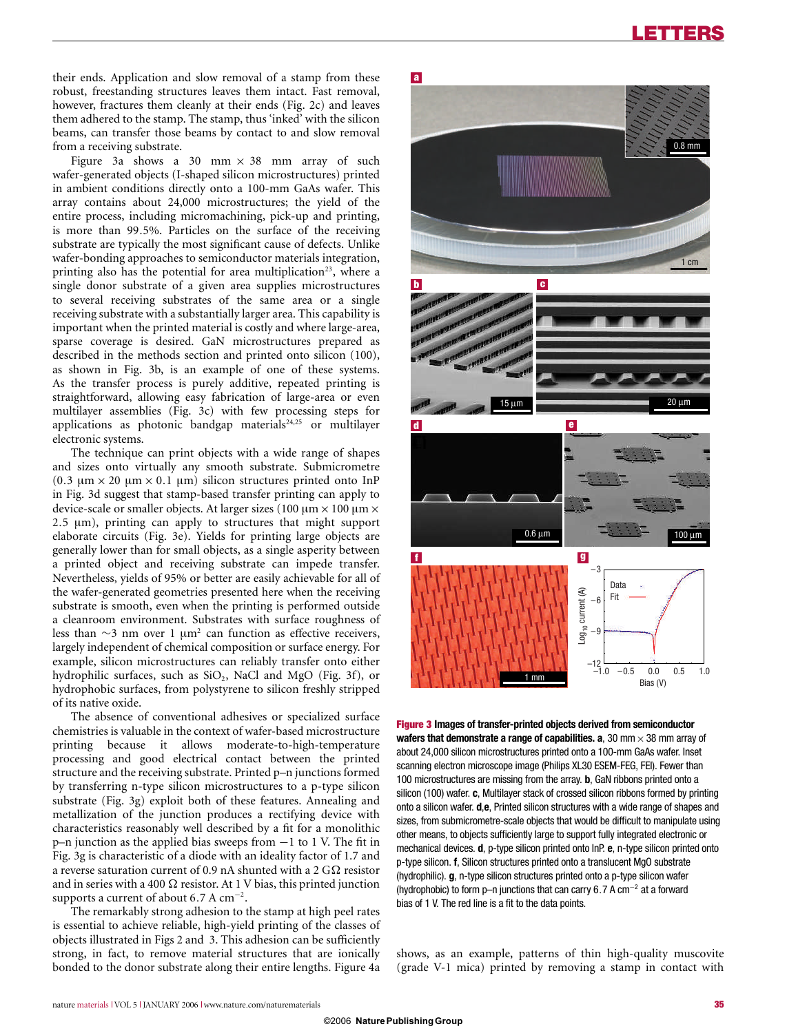their ends. Application and slow removal of a stamp from these robust, freestanding structures leaves them intact. Fast removal, however, fractures them cleanly at their ends (Fig. 2c) and leaves them adhered to the stamp. The stamp, thus 'inked' with the silicon beams, can transfer those beams by contact to and slow removal from a receiving substrate.

Figure 3a shows a 30 mm  $\times$  38 mm array of such wafer-generated objects (I-shaped silicon microstructures) printed in ambient conditions directly onto a 100-mm GaAs wafer. This array contains about 24,000 microstructures; the yield of the entire process, including micromachining, pick-up and printing, is more than 99.5%. Particles on the surface of the receiving substrate are typically the most significant cause of defects. Unlike wafer-bonding approaches to semiconductor materials integration, printing also has the potential for area multiplication<sup>23</sup>, where a single donor substrate of a given area supplies microstructures to several receiving substrates of the same area or a single receiving substrate with a substantially larger area. This capability is important when the printed material is costly and where large-area, sparse coverage is desired. GaN microstructures prepared as described in the methods section and printed onto silicon (100), as shown in Fig. 3b, is an example of one of these systems. As the transfer process is purely additive, repeated printing is straightforward, allowing easy fabrication of large-area or even multilayer assemblies (Fig. 3c) with few processing steps for applications as photonic bandgap materials<sup>24,25</sup> or multilaver electronic systems.

The technique can print objects with a wide range of shapes and sizes onto virtually any smooth substrate. Submicrometre (0.3 μm × 20 μm × 0.1 μm) silicon structures printed onto InP in Fig. 3d suggest that stamp-based transfer printing can apply to device-scale or smaller objects. At larger sizes (100  $\mu$ m × 100  $\mu$ m × 2.5 μm), printing can apply to structures that might support elaborate circuits (Fig. 3e). Yields for printing large objects are generally lower than for small objects, as a single asperity between a printed object and receiving substrate can impede transfer. Nevertheless, yields of 95% or better are easily achievable for all of the wafer-generated geometries presented here when the receiving substrate is smooth, even when the printing is performed outside a cleanroom environment. Substrates with surface roughness of less than  $\sim$ 3 nm over 1 µm<sup>2</sup> can function as effective receivers, largely independent of chemical composition or surface energy. For example, silicon microstructures can reliably transfer onto either hydrophilic surfaces, such as SiO<sub>2</sub>, NaCl and MgO (Fig. 3f), or hydrophobic surfaces, from polystyrene to silicon freshly stripped of its native oxide.

The absence of conventional adhesives or specialized surface chemistries is valuable in the context of wafer-based microstructure printing because it allows moderate-to-high-temperature processing and good electrical contact between the printed structure and the receiving substrate. Printed p–n junctions formed by transferring n-type silicon microstructures to a p-type silicon substrate (Fig. 3g) exploit both of these features. Annealing and metallization of the junction produces a rectifying device with characteristics reasonably well described by a fit for a monolithic p–n junction as the applied bias sweeps from −1 to 1 V. The fit in Fig. 3g is characteristic of a diode with an ideality factor of 1.7 and a reverse saturation current of 0.9 nA shunted with a 2  $G\Omega$  resistor and in series with a 400  $\Omega$  resistor. At 1 V bias, this printed junction supports a current of about 6.7 A  $cm^{-2}$ .

The remarkably strong adhesion to the stamp at high peel rates is essential to achieve reliable, high-yield printing of the classes of objects illustrated in Figs 2 and 3. This adhesion can be sufficiently strong, in fact, to remove material structures that are ionically bonded to the donor substrate along their entire lengths. Figure 4a



**Figure 3 Images of transfer-printed objects derived from semiconductor wafers that demonstrate a range of capabilities.**  $a$ **, 30 mm**  $\times$  **38 mm array of** about 24,000 silicon microstructures printed onto a 100-mm GaAs wafer. Inset scanning electron microscope image (Philips XL30 ESEM-FEG, FEI). Fewer than 100 microstructures are missing from the array. **b**, GaN ribbons printed onto a silicon (100) wafer. **c**, Multilayer stack of crossed silicon ribbons formed by printing onto a silicon wafer. **d**,**e**, Printed silicon structures with a wide range of shapes and sizes, from submicrometre-scale objects that would be difficult to manipulate using other means, to objects sufficiently large to support fully integrated electronic or mechanical devices. **d**, p-type silicon printed onto InP. **e**, n-type silicon printed onto p-type silicon. **f**, Silicon structures printed onto a translucent MgO substrate (hydrophilic). **g**, n-type silicon structures printed onto a p-type silicon wafer (hydrophobic) to form p–n junctions that can carry 6.7 A cm−<sup>2</sup> at a forward bias of 1 V. The red line is a fit to the data points.

shows, as an example, patterns of thin high-quality muscovite (grade V-1 mica) printed by removing a stamp in contact with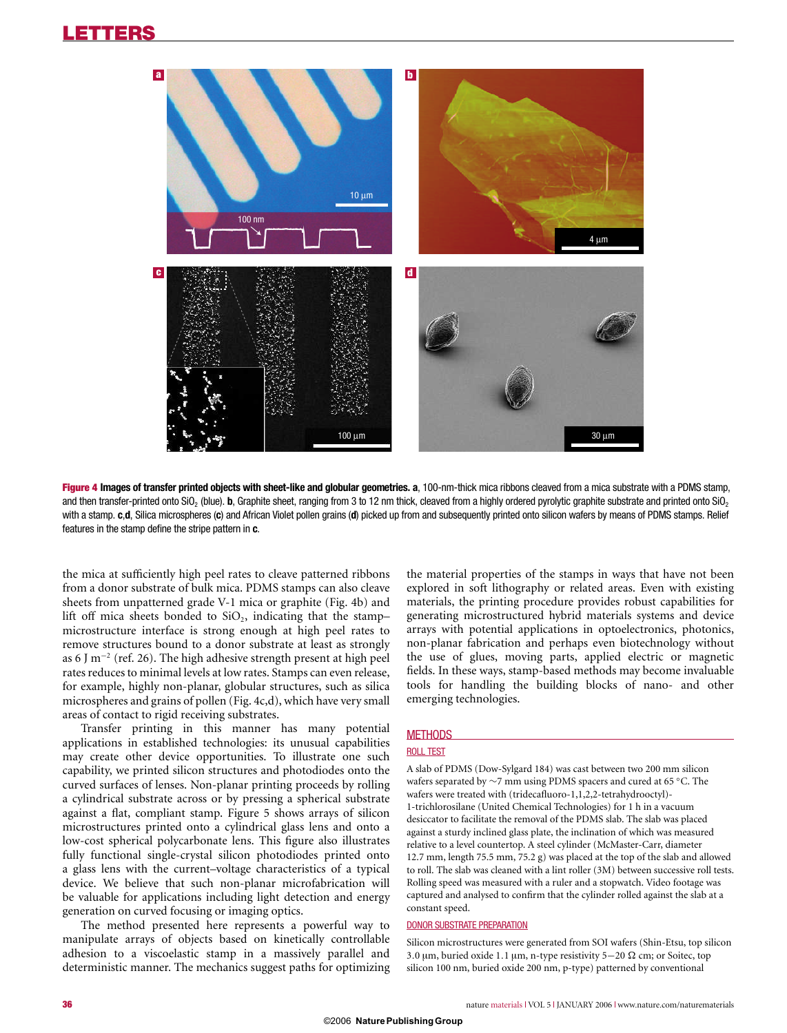## **LETTERS**



**Figure 4 Images of transfer printed objects with sheet-like and globular geometries. a**, 100-nm-thick mica ribbons cleaved from a mica substrate with a PDMS stamp, and then transfer-printed onto SiO<sub>2</sub> (blue). **b**, Graphite sheet, ranging from 3 to 12 nm thick, cleaved from a highly ordered pyrolytic graphite substrate and printed onto SiO<sub>2</sub> with a stamp. **c**,**d**, Silica microspheres (**c**) and African Violet pollen grains (**d**) picked up from and subsequently printed onto silicon wafers by means of PDMS stamps. Relief features in the stamp define the stripe pattern in **c**.

the mica at sufficiently high peel rates to cleave patterned ribbons from a donor substrate of bulk mica. PDMS stamps can also cleave sheets from unpatterned grade V-1 mica or graphite (Fig. 4b) and lift off mica sheets bonded to  $SiO<sub>2</sub>$ , indicating that the stampmicrostructure interface is strong enough at high peel rates to remove structures bound to a donor substrate at least as strongly as 6 J m−<sup>2</sup> (ref. 26). The high adhesive strength present at high peel rates reduces to minimal levels at low rates. Stamps can even release, for example, highly non-planar, globular structures, such as silica microspheres and grains of pollen (Fig. 4c,d), which have very small areas of contact to rigid receiving substrates.

Transfer printing in this manner has many potential applications in established technologies: its unusual capabilities may create other device opportunities. To illustrate one such capability, we printed silicon structures and photodiodes onto the curved surfaces of lenses. Non-planar printing proceeds by rolling a cylindrical substrate across or by pressing a spherical substrate against a flat, compliant stamp. Figure 5 shows arrays of silicon microstructures printed onto a cylindrical glass lens and onto a low-cost spherical polycarbonate lens. This figure also illustrates fully functional single-crystal silicon photodiodes printed onto a glass lens with the current–voltage characteristics of a typical device. We believe that such non-planar microfabrication will be valuable for applications including light detection and energy generation on curved focusing or imaging optics.

The method presented here represents a powerful way to manipulate arrays of objects based on kinetically controllable adhesion to a viscoelastic stamp in a massively parallel and deterministic manner. The mechanics suggest paths for optimizing the material properties of the stamps in ways that have not been explored in soft lithography or related areas. Even with existing materials, the printing procedure provides robust capabilities for generating microstructured hybrid materials systems and device arrays with potential applications in optoelectronics, photonics, non-planar fabrication and perhaps even biotechnology without the use of glues, moving parts, applied electric or magnetic fields. In these ways, stamp-based methods may become invaluable tools for handling the building blocks of nano- and other emerging technologies.

## **METHODS**

#### ROLL TEST

A slab of PDMS (Dow-Sylgard 184) was cast between two 200 mm silicon wafers separated by ∼7 mm using PDMS spacers and cured at 65 ◦C. The wafers were treated with (tridecafluoro-1,1,2,2-tetrahydrooctyl)- 1-trichlorosilane (United Chemical Technologies) for 1 h in a vacuum desiccator to facilitate the removal of the PDMS slab. The slab was placed against a sturdy inclined glass plate, the inclination of which was measured relative to a level countertop. A steel cylinder (McMaster-Carr, diameter 12.7 mm, length 75.5 mm, 75.2 g) was placed at the top of the slab and allowed to roll. The slab was cleaned with a lint roller (3M) between successive roll tests. Rolling speed was measured with a ruler and a stopwatch. Video footage was captured and analysed to confirm that the cylinder rolled against the slab at a constant speed.

#### DONOR SUBSTRATE PREPARATION

Silicon microstructures were generated from SOI wafers (Shin-Etsu, top silicon 3.0 μm, buried oxide 1.1 μm, n-type resistivity 5−20 cm; or Soitec, top silicon 100 nm, buried oxide 200 nm, p-type) patterned by conventional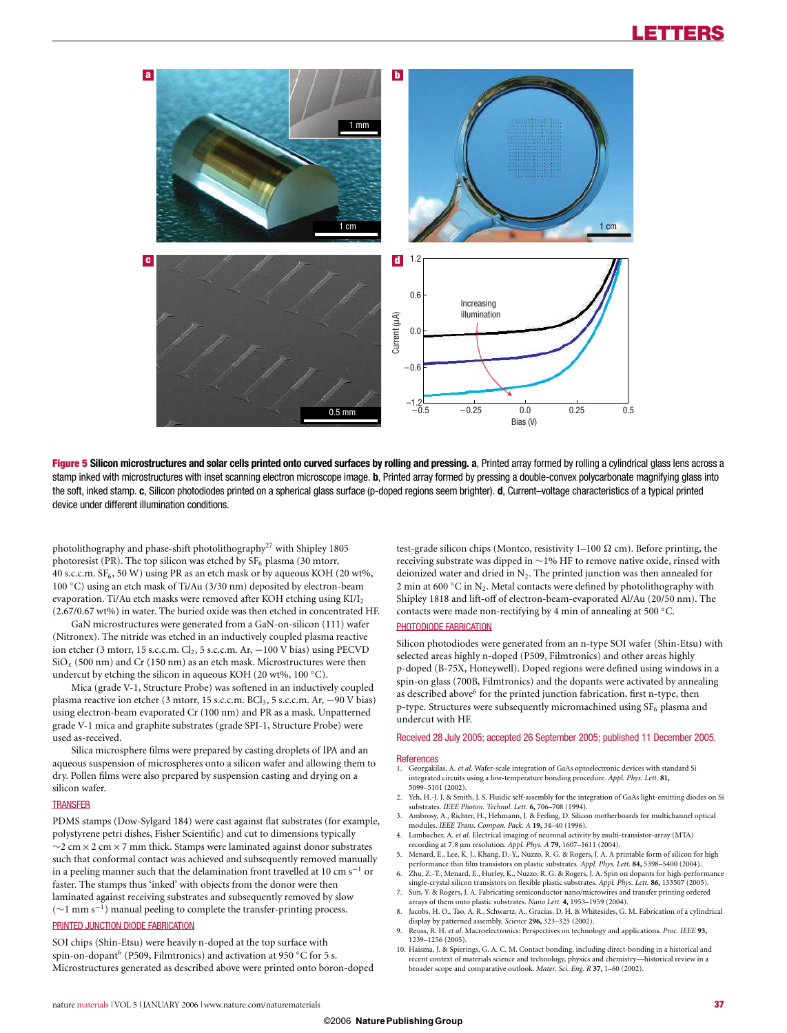

Figure 5 Silicon microstructures and solar cells printed onto curved surfaces by rolling and pressing. a, Printed array formed by rolling a cylindrical glass lens across a stamp inked with microstructures with inset scanning electron microscope image. **b**, Printed array formed by pressing a double-convex polycarbonate magnifying glass into the soft, inked stamp. **c**, Silicon photodiodes printed on a spherical glass surface (p-doped regions seem brighter). **d**, Current–voltage characteristics of a typical printed device under different illumination conditions.

photolithography and phase-shift photolithography<sup>27</sup> with Shipley 1805 photoresist (PR). The top silicon was etched by  $SF<sub>6</sub>$  plasma (30 mtorr, 40 s.c.c.m.  $SF_6$ , 50 W) using PR as an etch mask or by aqueous KOH (20 wt%, 100 ◦C) using an etch mask of Ti/Au (3/30 nm) deposited by electron-beam evaporation. Ti/Au etch masks were removed after KOH etching using  $K I/I<sub>2</sub>$ (2.67/0.67 wt%) in water. The buried oxide was then etched in concentrated HF.

GaN microstructures were generated from a GaN-on-silicon (111) wafer (Nitronex). The nitride was etched in an inductively coupled plasma reactive ion etcher (3 mtorr, 15 s.c.c.m. Cl2, 5 s.c.c.m. Ar, −100 V bias) using PECVD  $\mathrm{SiO}_x$  (500 nm) and Cr (150 nm) as an etch mask. Microstructures were then undercut by etching the silicon in aqueous KOH (20 wt%, 100 °C).

Mica (grade V-1, Structure Probe) was softened in an inductively coupled plasma reactive ion etcher (3 mtorr, 15 s.c.c.m. BCl<sub>3</sub>, 5 s.c.c.m. Ar, −90 V bias) using electron-beam evaporated Cr (100 nm) and PR as a mask. Unpatterned grade V-1 mica and graphite substrates (grade SPI-1, Structure Probe) were used as-received.

Silica microsphere films were prepared by casting droplets of IPA and an aqueous suspension of microspheres onto a silicon wafer and allowing them to dry. Pollen films were also prepared by suspension casting and drying on a silicon wafer.

#### **TRANSFER**

PDMS stamps (Dow-Sylgard 184) were cast against flat substrates (for example, polystyrene petri dishes, Fisher Scientific) and cut to dimensions typically ∼2 cm×2 cm×7 mm thick. Stamps were laminated against donor substrates such that conformal contact was achieved and subsequently removed manually in a peeling manner such that the delamination front travelled at 10 cm s−<sup>1</sup> or faster. The stamps thus 'inked' with objects from the donor were then laminated against receiving substrates and subsequently removed by slow (∼1 mm s−1) manual peeling to complete the transfer-printing process. PRINTED JUNCTION DIODE FABRICATION

SOI chips (Shin-Etsu) were heavily n-doped at the top surface with spin-on-dopant<sup>6</sup> (P509, Filmtronics) and activation at 950 °C for 5 s. Microstructures generated as described above were printed onto boron-doped test-grade silicon chips (Montco, resistivity  $1-100 \Omega$  cm). Before printing, the receiving substrate was dipped in ∼1% HF to remove native oxide, rinsed with deionized water and dried in  $N_2$ . The printed junction was then annealed for 2 min at 600 °C in N<sub>2</sub>. Metal contacts were defined by photolithography with Shipley 1818 and lift-off of electron-beam-evaporated Al/Au (20/50 nm). The contacts were made non-rectifying by 4 min of annealing at 500 ◦C. PHOTODIODE FABRICATION

Silicon photodiodes were generated from an n-type SOI wafer (Shin-Etsu) with selected areas highly n-doped (P509, Filmtronics) and other areas highly p-doped (B-75X, Honeywell). Doped regions were defined using windows in a spin-on glass (700B, Filmtronics) and the dopants were activated by annealing as described above<sup>6</sup> for the printed junction fabrication, first n-type, then p-type. Structures were subsequently micromachined using  $SF_6$  plasma and undercut with HF.

Received 28 July 2005; accepted 26 September 2005; published 11 December 2005.

#### **References**

- 1. Georgakilas, A. *et al*. Wafer-scale integration of GaAs optoelectronic devices with standard Si integrated circuits using a low-temperature bonding procedure. *Appl. Phys. Lett.* **81,** 5099–5101 (2002).
- 2. Yeh, H.-J. J. & Smith, J. S. Fluidic self-assembly for the integration of GaAs light-emitting diodes on Si substrates. *IEEE Photon. Technol. Lett.* **6,** 706–708 (1994).
- Ambrosy, A., Richter, H., Hehmann, J. & Ferling, D. Silicon motherboards for multichannel optical modules. *IEEE Trans. Compon. Pack. A* **19,** 34–40 (1996).
- 4. Lambacher, A. *et al*. Electrical imaging of neuronal activity by multi-transistor-array (MTA) recording at 7.8 μm resolution. *Appl. Phys. A* **79,** 1607–1611 (2004).
- 5. Menard, E., Lee, K. J., Khang, D.-Y., Nuzzo, R. G. & Rogers, J. A. A printable form of silicon for high performance thin film transistors on plastic substrates. *Appl. Phys. Lett.* **84,** 5398–5400 (2004).
- 6. Zhu, Z.-T., Menard, E., Hurley, K., Nuzzo, R. G. & Rogers, J. A. Spin on dopants for high-performance single-crystal silicon transistors on flexible plastic substrates. *Appl. Phys. Lett.* **86,** 133507 (2005). 7. Sun, Y. & Rogers, J. A. Fabricating semiconductor nano/microwires and transfer printing ordered
- arrays of them onto plastic substrates. *Nano Lett.* **4,** 1953–1959 (2004). 8. Jacobs, H. O., Tao, A. R., Schwartz, A., Gracias, D. H. & Whitesides, G. M. Fabrication of a cylindrical
- display by patterned assembly. *Science* **296,** 323–325 (2002). 9. Reuss, R. H. *et al*. Macroelectronics: Perspectives on technology and applications. *Proc. IEEE* **93,**
- 1239–1256 (2005).
- 10. Haisma, J. & Spierings, G. A. C. M. Contact bonding, including direct-bonding in a historical and recent context of materials science and technology, physics and chemistry—historical review in a broader scope and comparative outlook. *Mater. Sci. Eng. R* **37,** 1–60 (2002).